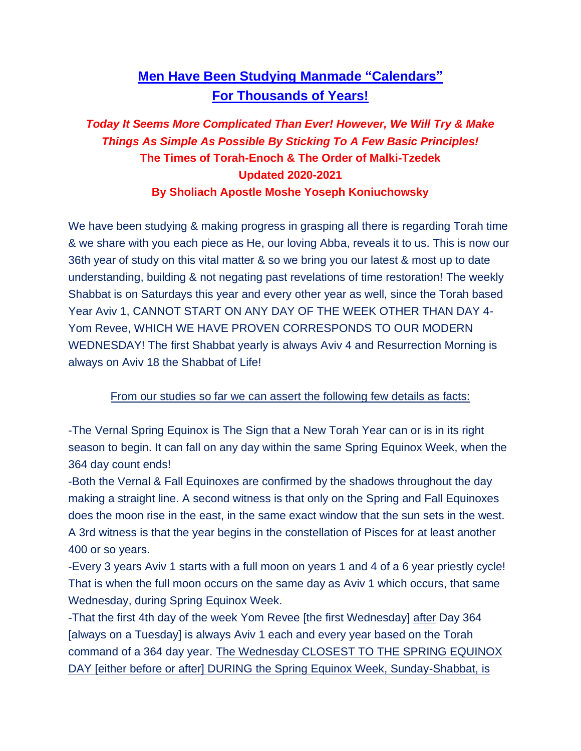# **Men Have Been Studying Manmade "Calendars" For Thousands of Years!**

## *Today It Seems More Complicated Than Ever! However, We Will Try & Make Things As Simple As Possible By Sticking To A Few Basic Principles!* **The Times of Torah-Enoch & The Order of Malki-Tzedek Updated 2020-2021 By Sholiach Apostle Moshe Yoseph Koniuchowsky**

We have been studying & making progress in grasping all there is regarding Torah time & we share with you each piece as He, our loving Abba, reveals it to us. This is now our 36th year of study on this vital matter & so we bring you our latest & most up to date understanding, building & not negating past revelations of time restoration! The weekly Shabbat is on Saturdays this year and every other year as well, since the Torah based Year Aviv 1, CANNOT START ON ANY DAY OF THE WEEK OTHER THAN DAY 4- Yom Revee, WHICH WE HAVE PROVEN CORRESPONDS TO OUR MODERN WEDNESDAY! The first Shabbat yearly is always Aviv 4 and Resurrection Morning is always on Aviv 18 the Shabbat of Life!

From our studies so far we can assert the following few details as facts:

-The Vernal Spring Equinox is The Sign that a New Torah Year can or is in its right season to begin. It can fall on any day within the same Spring Equinox Week, when the 364 day count ends!

-Both the Vernal & Fall Equinoxes are confirmed by the shadows throughout the day making a straight line. A second witness is that only on the Spring and Fall Equinoxes does the moon rise in the east, in the same exact window that the sun sets in the west. A 3rd witness is that the year begins in the constellation of Pisces for at least another 400 or so years.

-Every 3 years Aviv 1 starts with a full moon on years 1 and 4 of a 6 year priestly cycle! That is when the full moon occurs on the same day as Aviv 1 which occurs, that same Wednesday, during Spring Equinox Week.

-That the first 4th day of the week Yom Revee [the first Wednesday] after Day 364 [always on a Tuesday] is always Aviv 1 each and every year based on the Torah command of a 364 day year. The Wednesday CLOSEST TO THE SPRING EQUINOX DAY [either before or after] DURING the Spring Equinox Week, Sunday-Shabbat, is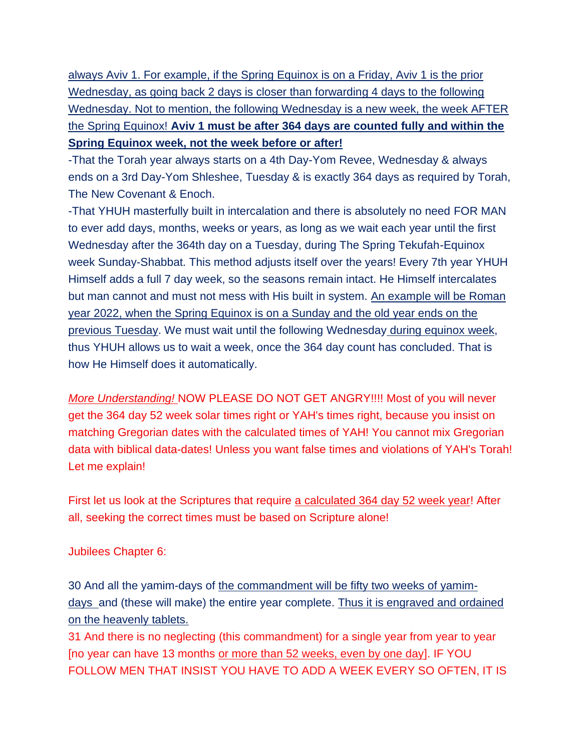always Aviv 1. For example, if the Spring Equinox is on a Friday, Aviv 1 is the prior Wednesday, as going back 2 days is closer than forwarding 4 days to the following Wednesday. Not to mention, the following Wednesday is a new week, the week AFTER the Spring Equinox! **Aviv 1 must be after 364 days are counted fully and within the Spring Equinox week, not the week before or after!**

-That the Torah year always starts on a 4th Day-Yom Revee, Wednesday & always ends on a 3rd Day-Yom Shleshee, Tuesday & is exactly 364 days as required by Torah, The New Covenant & Enoch.

-That YHUH masterfully built in intercalation and there is absolutely no need FOR MAN to ever add days, months, weeks or years, as long as we wait each year until the first Wednesday after the 364th day on a Tuesday, during The Spring Tekufah-Equinox week Sunday-Shabbat. This method adjusts itself over the years! Every 7th year YHUH Himself adds a full 7 day week, so the seasons remain intact. He Himself intercalates but man cannot and must not mess with His built in system. An example will be Roman year 2022, when the Spring Equinox is on a Sunday and the old year ends on the previous Tuesday. We must wait until the following Wednesday during equinox week, thus YHUH allows us to wait a week, once the 364 day count has concluded. That is how He Himself does it automatically.

*More Understanding!* NOW PLEASE DO NOT GET ANGRY!!!! Most of you will never get the 364 day 52 week solar times right or YAH's times right, because you insist on matching Gregorian dates with the calculated times of YAH! You cannot mix Gregorian data with biblical data-dates! Unless you want false times and violations of YAH's Torah! Let me explain!

First let us look at the Scriptures that require a calculated 364 day 52 week year! After all, seeking the correct times must be based on Scripture alone!

Jubilees Chapter 6:

30 And all the yamim-days of the commandment will be fifty two weeks of yamimdays and (these will make) the entire year complete. Thus it is engraved and ordained on the heavenly tablets.

31 And there is no neglecting (this commandment) for a single year from year to year [no year can have 13 months or more than 52 weeks, even by one day]. IF YOU FOLLOW MEN THAT INSIST YOU HAVE TO ADD A WEEK EVERY SO OFTEN, IT IS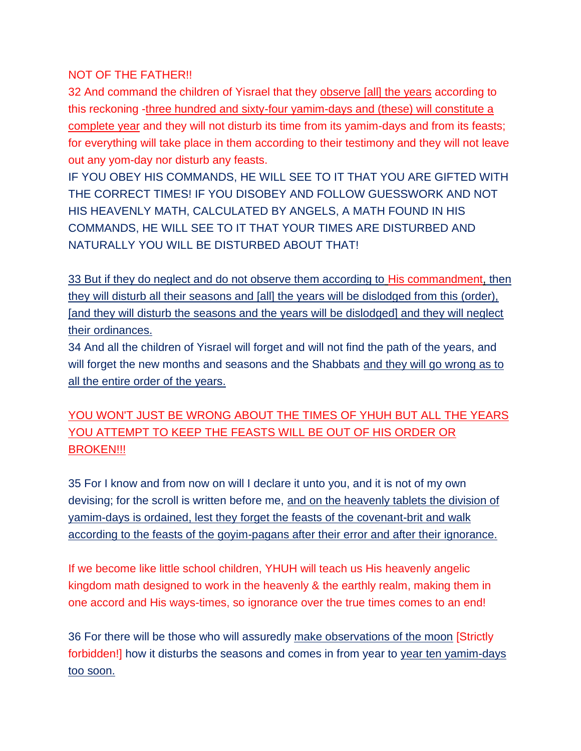#### NOT OF THE FATHER!!

32 And command the children of Yisrael that they observe [all] the years according to this reckoning -three hundred and sixty-four yamim-days and (these) will constitute a complete year and they will not disturb its time from its yamim-days and from its feasts; for everything will take place in them according to their testimony and they will not leave out any yom-day nor disturb any feasts.

IF YOU OBEY HIS COMMANDS, HE WILL SEE TO IT THAT YOU ARE GIFTED WITH THE CORRECT TIMES! IF YOU DISOBEY AND FOLLOW GUESSWORK AND NOT HIS HEAVENLY MATH, CALCULATED BY ANGELS, A MATH FOUND IN HIS COMMANDS, HE WILL SEE TO IT THAT YOUR TIMES ARE DISTURBED AND NATURALLY YOU WILL BE DISTURBED ABOUT THAT!

33 But if they do neglect and do not observe them according to His commandment, then they will disturb all their seasons and [all] the years will be dislodged from this (order), [and they will disturb the seasons and the years will be dislodged] and they will neglect their ordinances.

34 And all the children of Yisrael will forget and will not find the path of the years, and will forget the new months and seasons and the Shabbats and they will go wrong as to all the entire order of the years.

## YOU WON'T JUST BE WRONG ABOUT THE TIMES OF YHUH BUT ALL THE YEARS YOU ATTEMPT TO KEEP THE FEASTS WILL BE OUT OF HIS ORDER OR BROKEN!!!

35 For I know and from now on will I declare it unto you, and it is not of my own devising; for the scroll is written before me, and on the heavenly tablets the division of yamim-days is ordained, lest they forget the feasts of the covenant-brit and walk according to the feasts of the goyim-pagans after their error and after their ignorance.

If we become like little school children, YHUH will teach us His heavenly angelic kingdom math designed to work in the heavenly & the earthly realm, making them in one accord and His ways-times, so ignorance over the true times comes to an end!

36 For there will be those who will assuredly make observations of the moon [Strictly forbidden!] how it disturbs the seasons and comes in from year to year ten yamim-days too soon.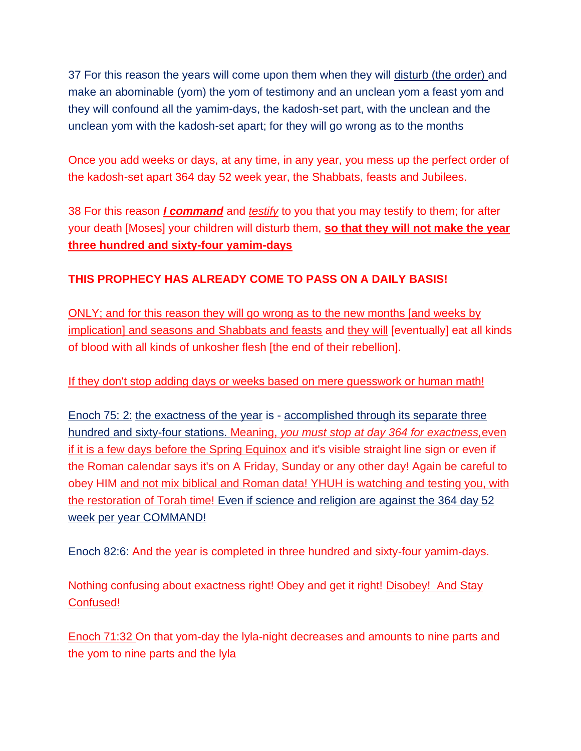37 For this reason the years will come upon them when they will disturb (the order) and make an abominable (yom) the yom of testimony and an unclean yom a feast yom and they will confound all the yamim-days, the kadosh-set part, with the unclean and the unclean yom with the kadosh-set apart; for they will go wrong as to the months

Once you add weeks or days, at any time, in any year, you mess up the perfect order of the kadosh-set apart 364 day 52 week year, the Shabbats, feasts and Jubilees.

38 For this reason *I command* and *testify* to you that you may testify to them; for after your death [Moses] your children will disturb them, **so that they will not make the year three hundred and sixty-four yamim-days**

#### **THIS PROPHECY HAS ALREADY COME TO PASS ON A DAILY BASIS!**

ONLY; and for this reason they will go wrong as to the new months [and weeks by implication] and seasons and Shabbats and feasts and they will [eventually] eat all kinds of blood with all kinds of unkosher flesh [the end of their rebellion].

If they don't stop adding days or weeks based on mere guesswork or human math!

Enoch 75: 2: the exactness of the year is - accomplished through its separate three hundred and sixty-four stations. Meaning, *you must stop at day 364 for exactness,*even if it is a few days before the Spring Equinox and it's visible straight line sign or even if the Roman calendar says it's on A Friday, Sunday or any other day! Again be careful to obey HIM and not mix biblical and Roman data! YHUH is watching and testing you, with the restoration of Torah time! Even if science and religion are against the 364 day 52 week per year COMMAND!

Enoch 82:6: And the year is completed in three hundred and sixty-four yamim-days.

Nothing confusing about exactness right! Obey and get it right! Disobey! And Stay Confused!

Enoch 71:32 On that yom-day the lyla-night decreases and amounts to nine parts and the yom to nine parts and the lyla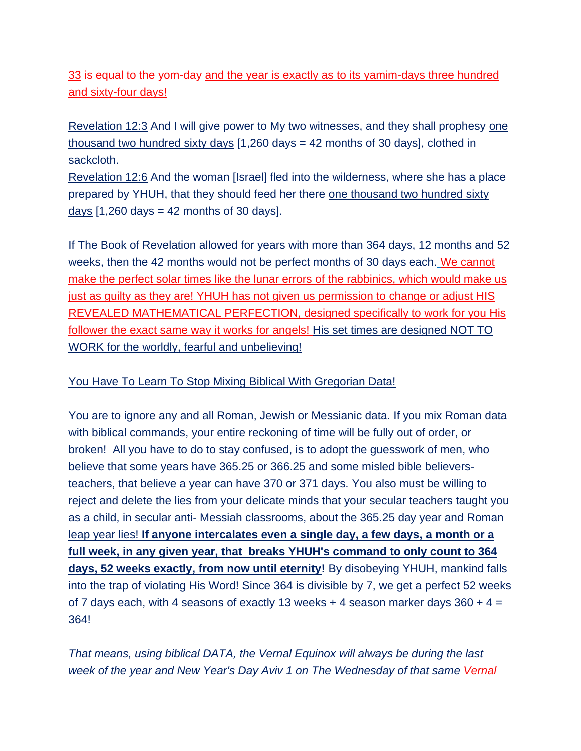33 is equal to the yom-day and the year is exactly as to its yamim-days three hundred and sixty-four days!

Revelation 12:3 And I will give power to My two witnesses, and they shall prophesy one thousand two hundred sixty days [1,260 days = 42 months of 30 days], clothed in sackcloth.

Revelation 12:6 And the woman [Israel] fled into the wilderness, where she has a place prepared by YHUH, that they should feed her there one thousand two hundred sixty days  $[1,260 \text{ days} = 42 \text{ months of } 30 \text{ days}]$ .

If The Book of Revelation allowed for years with more than 364 days, 12 months and 52 weeks, then the 42 months would not be perfect months of 30 days each. We cannot make the perfect solar times like the lunar errors of the rabbinics, which would make us just as guilty as they are! YHUH has not given us permission to change or adjust HIS REVEALED MATHEMATICAL PERFECTION, designed specifically to work for you His follower the exact same way it works for angels! His set times are designed NOT TO WORK for the worldly, fearful and unbelieving!

#### You Have To Learn To Stop Mixing Biblical With Gregorian Data!

You are to ignore any and all Roman, Jewish or Messianic data. If you mix Roman data with biblical commands, your entire reckoning of time will be fully out of order, or broken! All you have to do to stay confused, is to adopt the guesswork of men, who believe that some years have 365.25 or 366.25 and some misled bible believersteachers, that believe a year can have 370 or 371 days. You also must be willing to reject and delete the lies from your delicate minds that your secular teachers taught you as a child, in secular anti- Messiah classrooms, about the 365.25 day year and Roman leap year lies! **If anyone intercalates even a single day, a few days, a month or a full week, in any given year, that breaks YHUH's command to only count to 364 days, 52 weeks exactly, from now until eternity!** By disobeying YHUH, mankind falls into the trap of violating His Word! Since 364 is divisible by 7, we get a perfect 52 weeks of 7 days each, with 4 seasons of exactly 13 weeks  $+$  4 season marker days 360  $+$  4 = 364!

*That means, using biblical DATA, the Vernal Equinox will always be during the last week of the year and New Year's Day Aviv 1 on The Wednesday of that same Vernal*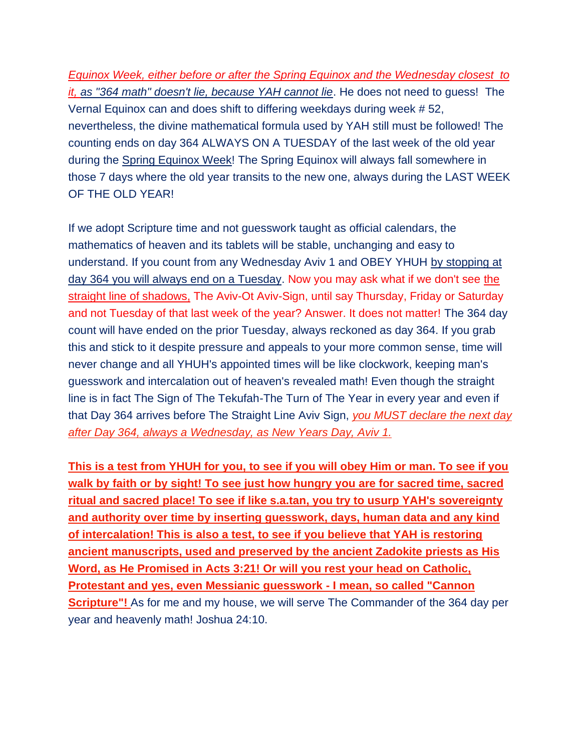*Equinox Week, either before or after the Spring Equinox and the Wednesday closest to it, as "364 math" doesn't lie, because YAH cannot lie*. He does not need to guess! The Vernal Equinox can and does shift to differing weekdays during week # 52, nevertheless, the divine mathematical formula used by YAH still must be followed! The counting ends on day 364 ALWAYS ON A TUESDAY of the last week of the old year during the Spring Equinox Week! The Spring Equinox will always fall somewhere in those 7 days where the old year transits to the new one, always during the LAST WEEK OF THE OLD YEAR!

If we adopt Scripture time and not guesswork taught as official calendars, the mathematics of heaven and its tablets will be stable, unchanging and easy to understand. If you count from any Wednesday Aviv 1 and OBEY YHUH by stopping at day 364 you will always end on a Tuesday. Now you may ask what if we don't see the straight line of shadows, The Aviv-Ot Aviv-Sign, until say Thursday, Friday or Saturday and not Tuesday of that last week of the year? Answer. It does not matter! The 364 day count will have ended on the prior Tuesday, always reckoned as day 364. If you grab this and stick to it despite pressure and appeals to your more common sense, time will never change and all YHUH's appointed times will be like clockwork, keeping man's guesswork and intercalation out of heaven's revealed math! Even though the straight line is in fact The Sign of The Tekufah-The Turn of The Year in every year and even if that Day 364 arrives before The Straight Line Aviv Sign, *you MUST declare the next day after Day 364, always a Wednesday, as New Years Day, Aviv 1.* 

**This is a test from YHUH for you, to see if you will obey Him or man. To see if you walk by faith or by sight! To see just how hungry you are for sacred time, sacred ritual and sacred place! To see if like s.a.tan, you try to usurp YAH's sovereignty and authority over time by inserting guesswork, days, human data and any kind of intercalation! This is also a test, to see if you believe that YAH is restoring ancient manuscripts, used and preserved by the ancient Zadokite priests as His Word, as He Promised in Acts 3:21! Or will you rest your head on Catholic, Protestant and yes, even Messianic guesswork - I mean, so called "Cannon Scripture"!** As for me and my house, we will serve The Commander of the 364 day per year and heavenly math! Joshua 24:10.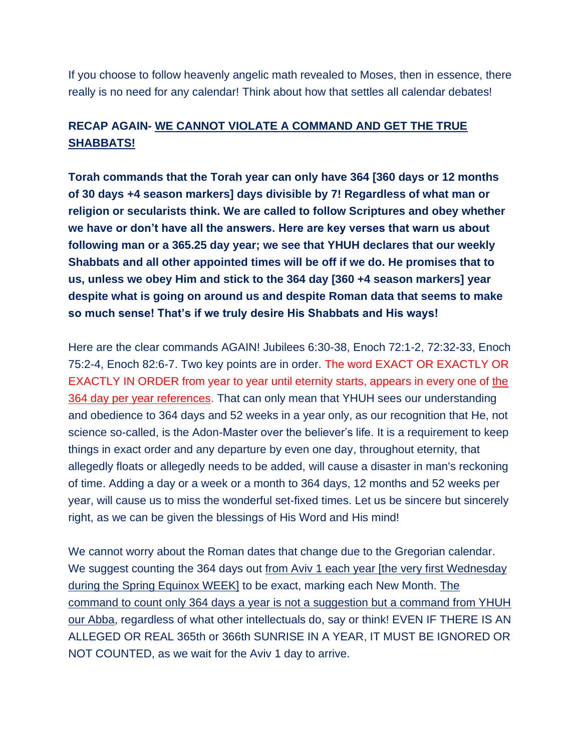If you choose to follow heavenly angelic math revealed to Moses, then in essence, there really is no need for any calendar! Think about how that settles all calendar debates!

## **RECAP AGAIN- WE CANNOT VIOLATE A COMMAND AND GET THE TRUE SHABBATS!**

**Torah commands that the Torah year can only have 364 [360 days or 12 months of 30 days +4 season markers] days divisible by 7! Regardless of what man or religion or secularists think. We are called to follow Scriptures and obey whether we have or don't have all the answers. Here are key verses that warn us about following man or a 365.25 day year; we see that YHUH declares that our weekly Shabbats and all other appointed times will be off if we do. He promises that to us, unless we obey Him and stick to the 364 day [360 +4 season markers] year despite what is going on around us and despite Roman data that seems to make so much sense! That's if we truly desire His Shabbats and His ways!**

Here are the clear commands AGAIN! Jubilees 6:30-38, Enoch 72:1-2, 72:32-33, Enoch 75:2-4, Enoch 82:6-7. Two key points are in order. The word EXACT OR EXACTLY OR EXACTLY IN ORDER from year to year until eternity starts, appears in every one of the 364 day per year references. That can only mean that YHUH sees our understanding and obedience to 364 days and 52 weeks in a year only, as our recognition that He, not science so-called, is the Adon-Master over the believer's life. It is a requirement to keep things in exact order and any departure by even one day, throughout eternity, that allegedly floats or allegedly needs to be added, will cause a disaster in man's reckoning of time. Adding a day or a week or a month to 364 days, 12 months and 52 weeks per year, will cause us to miss the wonderful set-fixed times. Let us be sincere but sincerely right, as we can be given the blessings of His Word and His mind!

We cannot worry about the Roman dates that change due to the Gregorian calendar. We suggest counting the 364 days out from Aviv 1 each year [the very first Wednesday during the Spring Equinox WEEK] to be exact, marking each New Month. The command to count only 364 days a year is not a suggestion but a command from YHUH our Abba, regardless of what other intellectuals do, say or think! EVEN IF THERE IS AN ALLEGED OR REAL 365th or 366th SUNRISE IN A YEAR, IT MUST BE IGNORED OR NOT COUNTED, as we wait for the Aviv 1 day to arrive.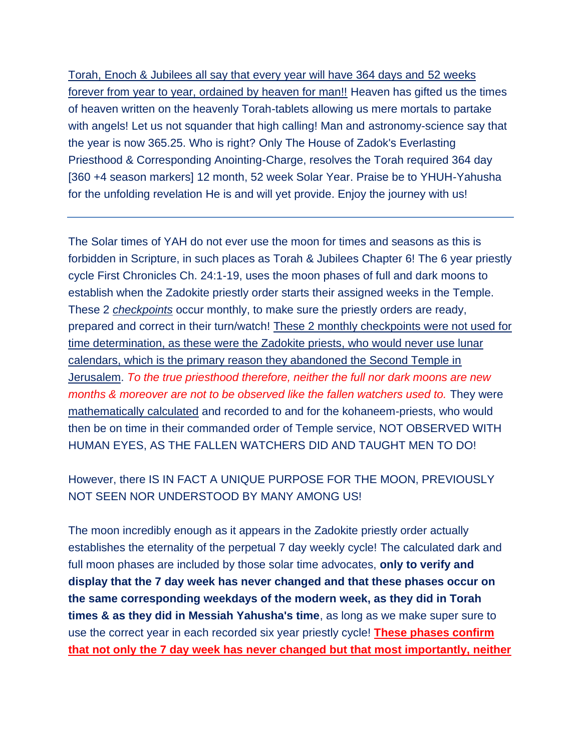Torah, Enoch & Jubilees all say that every year will have 364 days and 52 weeks forever from year to year, ordained by heaven for man!! Heaven has gifted us the times of heaven written on the heavenly Torah-tablets allowing us mere mortals to partake with angels! Let us not squander that high calling! Man and astronomy-science say that the year is now 365.25. Who is right? Only The House of Zadok's Everlasting Priesthood & Corresponding Anointing-Charge, resolves the Torah required 364 day [360 +4 season markers] 12 month, 52 week Solar Year. Praise be to YHUH-Yahusha for the unfolding revelation He is and will yet provide. Enjoy the journey with us!

The Solar times of YAH do not ever use the moon for times and seasons as this is forbidden in Scripture, in such places as Torah & Jubilees Chapter 6! The 6 year priestly cycle First Chronicles Ch. 24:1-19, uses the moon phases of full and dark moons to establish when the Zadokite priestly order starts their assigned weeks in the Temple. These 2 *checkpoints* occur monthly, to make sure the priestly orders are ready, prepared and correct in their turn/watch! These 2 monthly checkpoints were not used for time determination, as these were the Zadokite priests, who would never use lunar calendars, which is the primary reason they abandoned the Second Temple in Jerusalem. *To the true priesthood therefore, neither the full nor dark moons are new months & moreover are not to be observed like the fallen watchers used to.* They were mathematically calculated and recorded to and for the kohaneem-priests, who would then be on time in their commanded order of Temple service, NOT OBSERVED WITH HUMAN EYES, AS THE FALLEN WATCHERS DID AND TAUGHT MEN TO DO!

## However, there IS IN FACT A UNIQUE PURPOSE FOR THE MOON, PREVIOUSLY NOT SEEN NOR UNDERSTOOD BY MANY AMONG US!

The moon incredibly enough as it appears in the Zadokite priestly order actually establishes the eternality of the perpetual 7 day weekly cycle! The calculated dark and full moon phases are included by those solar time advocates, **only to verify and display that the 7 day week has never changed and that these phases occur on the same corresponding weekdays of the modern week, as they did in Torah times & as they did in Messiah Yahusha's time**, as long as we make super sure to use the correct year in each recorded six year priestly cycle! **These phases confirm that not only the 7 day week has never changed but that most importantly, neither**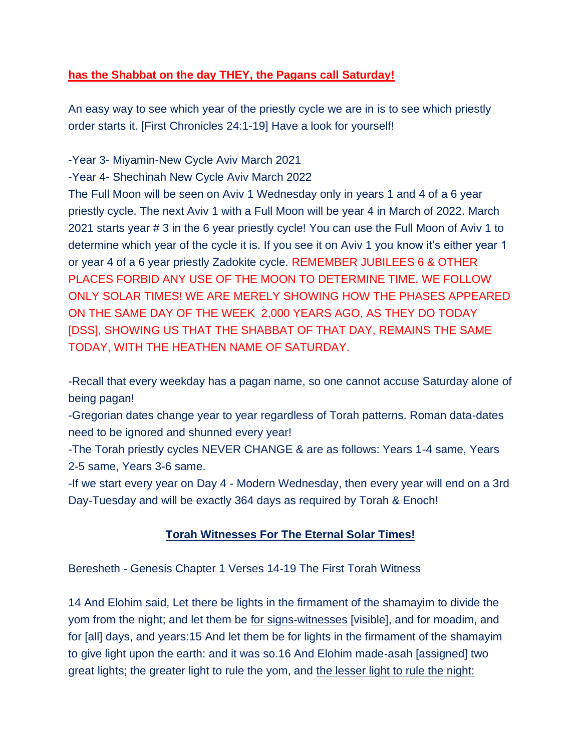#### **has the Shabbat on the day THEY, the Pagans call Saturday!**

An easy way to see which year of the priestly cycle we are in is to see which priestly order starts it. [First Chronicles 24:1-19] Have a look for yourself!

-Year 3- Miyamin-New Cycle Aviv March 2021

-Year 4- Shechinah New Cycle Aviv March 2022

The Full Moon will be seen on Aviv 1 Wednesday only in years 1 and 4 of a 6 year priestly cycle. The next Aviv 1 with a Full Moon will be year 4 in March of 2022. March 2021 starts year # 3 in the 6 year priestly cycle! You can use the Full Moon of Aviv 1 to determine which year of the cycle it is. If you see it on Aviv 1 you know it's either year 1 or year 4 of a 6 year priestly Zadokite cycle. REMEMBER JUBILEES 6 & OTHER PLACES FORBID ANY USE OF THE MOON TO DETERMINE TIME. WE FOLLOW ONLY SOLAR TIMES! WE ARE MERELY SHOWING HOW THE PHASES APPEARED ON THE SAME DAY OF THE WEEK 2,000 YEARS AGO, AS THEY DO TODAY [DSS], SHOWING US THAT THE SHABBAT OF THAT DAY, REMAINS THE SAME TODAY, WITH THE HEATHEN NAME OF SATURDAY.

-Recall that every weekday has a pagan name, so one cannot accuse Saturday alone of being pagan!

-Gregorian dates change year to year regardless of Torah patterns. Roman data-dates need to be ignored and shunned every year!

-The Torah priestly cycles NEVER CHANGE & are as follows: Years 1-4 same, Years 2-5 same, Years 3-6 same.

-If we start every year on Day 4 - Modern Wednesday, then every year will end on a 3rd Day-Tuesday and will be exactly 364 days as required by Torah & Enoch!

### **Torah Witnesses For The Eternal Solar Times!**

#### Beresheth - Genesis Chapter 1 Verses 14-19 The First Torah Witness

14 And Elohim said, Let there be lights in the firmament of the shamayim to divide the yom from the night; and let them be for signs-witnesses [visible], and for moadim, and for [all] days, and years:15 And let them be for lights in the firmament of the shamayim to give light upon the earth: and it was so.16 And Elohim made-asah [assigned] two great lights; the greater light to rule the yom, and the lesser light to rule the night: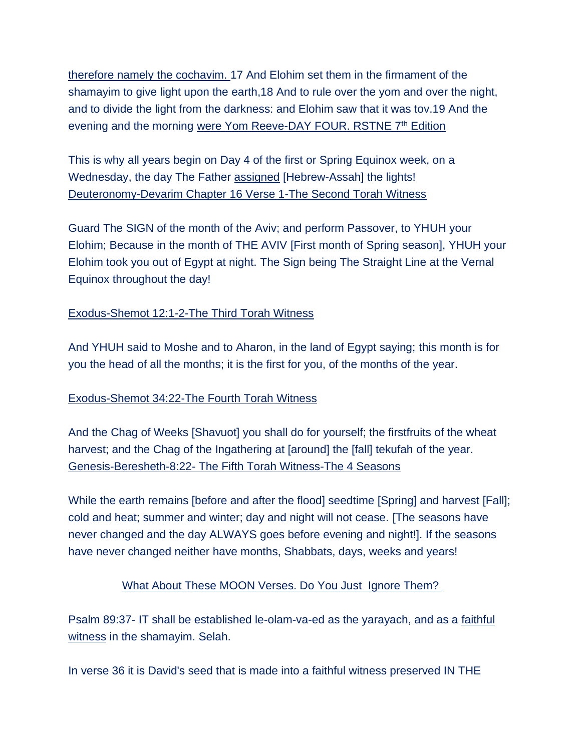therefore namely the cochavim. 17 And Elohim set them in the firmament of the shamayim to give light upon the earth,18 And to rule over the yom and over the night, and to divide the light from the darkness: and Elohim saw that it was tov.19 And the evening and the morning were Yom Reeve-DAY FOUR. RSTNE 7<sup>th</sup> Edition

This is why all years begin on Day 4 of the first or Spring Equinox week, on a Wednesday, the day The Father assigned [Hebrew-Assah] the lights! Deuteronomy-Devarim Chapter 16 Verse 1-The Second Torah Witness

Guard The SIGN of the month of the Aviv; and perform Passover, to YHUH your Elohim; Because in the month of THE AVIV [First month of Spring season], YHUH your Elohim took you out of Egypt at night. The Sign being The Straight Line at the Vernal Equinox throughout the day!

#### Exodus-Shemot 12:1-2-The Third Torah Witness

And YHUH said to Moshe and to Aharon, in the land of Egypt saying; this month is for you the head of all the months; it is the first for you, of the months of the year.

#### Exodus-Shemot 34:22-The Fourth Torah Witness

And the Chag of Weeks [Shavuot] you shall do for yourself; the firstfruits of the wheat harvest; and the Chag of the Ingathering at [around] the [fall] tekufah of the year. Genesis-Beresheth-8:22- The Fifth Torah Witness-The 4 Seasons

While the earth remains [before and after the flood] seedtime [Spring] and harvest [Fall]; cold and heat; summer and winter; day and night will not cease. [The seasons have never changed and the day ALWAYS goes before evening and night!]. If the seasons have never changed neither have months, Shabbats, days, weeks and years!

#### What About These MOON Verses. Do You Just Ignore Them?

Psalm 89:37- IT shall be established le-olam-va-ed as the yarayach, and as a faithful witness in the shamayim. Selah.

In verse 36 it is David's seed that is made into a faithful witness preserved IN THE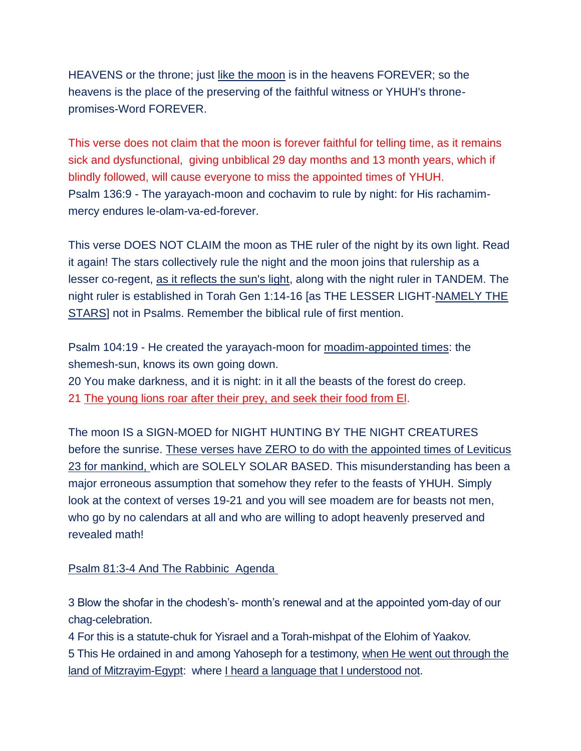HEAVENS or the throne; just like the moon is in the heavens FOREVER; so the heavens is the place of the preserving of the faithful witness or YHUH's thronepromises-Word FOREVER.

This verse does not claim that the moon is forever faithful for telling time, as it remains sick and dysfunctional, giving unbiblical 29 day months and 13 month years, which if blindly followed, will cause everyone to miss the appointed times of YHUH. Psalm 136:9 - The yarayach-moon and cochavim to rule by night: for His rachamimmercy endures le-olam-va-ed-forever.

This verse DOES NOT CLAIM the moon as THE ruler of the night by its own light. Read it again! The stars collectively rule the night and the moon joins that rulership as a lesser co-regent, as it reflects the sun's light, along with the night ruler in TANDEM. The night ruler is established in Torah Gen 1:14-16 [as THE LESSER LIGHT-NAMELY THE STARS] not in Psalms. Remember the biblical rule of first mention.

Psalm 104:19 - He created the yarayach-moon for moadim-appointed times: the shemesh-sun, knows its own going down. 20 You make darkness, and it is night: in it all the beasts of the forest do creep.

21 The young lions roar after their prey, and seek their food from El.

The moon IS a SIGN-MOED for NIGHT HUNTING BY THE NIGHT CREATURES before the sunrise. These verses have ZERO to do with the appointed times of Leviticus 23 for mankind, which are SOLELY SOLAR BASED. This misunderstanding has been a major erroneous assumption that somehow they refer to the feasts of YHUH. Simply look at the context of verses 19-21 and you will see moadem are for beasts not men, who go by no calendars at all and who are willing to adopt heavenly preserved and revealed math!

#### Psalm 81:3-4 And The Rabbinic Agenda

3 Blow the shofar in the chodesh's- month's renewal and at the appointed yom-day of our chag-celebration.

4 For this is a statute-chuk for Yisrael and a Torah-mishpat of the Elohim of Yaakov.

5 This He ordained in and among Yahoseph for a testimony, when He went out through the land of Mitzrayim-Egypt: where I heard a language that I understood not.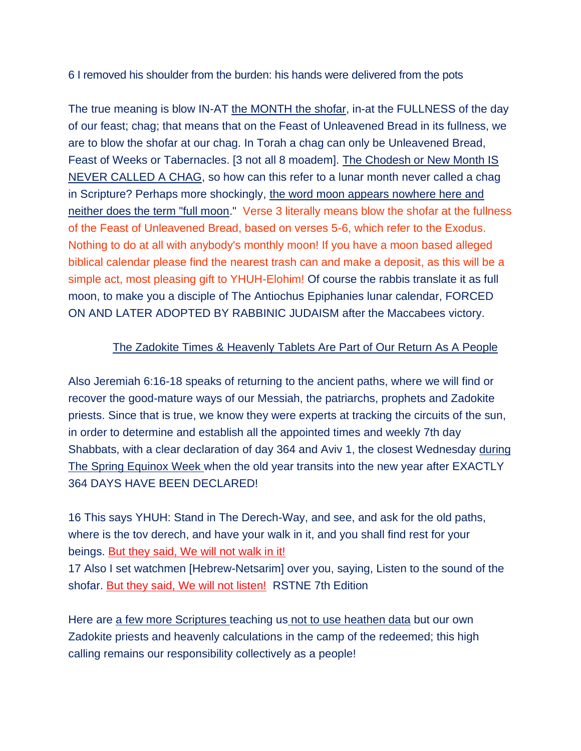6 I removed his shoulder from the burden: his hands were delivered from the pots

The true meaning is blow IN-AT the MONTH the shofar, in-at the FULLNESS of the day of our feast; chag; that means that on the Feast of Unleavened Bread in its fullness, we are to blow the shofar at our chag. In Torah a chag can only be Unleavened Bread, Feast of Weeks or Tabernacles. [3 not all 8 moadem]. The Chodesh or New Month IS NEVER CALLED A CHAG, so how can this refer to a lunar month never called a chag in Scripture? Perhaps more shockingly, the word moon appears nowhere here and neither does the term "full moon." Verse 3 literally means blow the shofar at the fullness of the Feast of Unleavened Bread, based on verses 5-6, which refer to the Exodus. Nothing to do at all with anybody's monthly moon! If you have a moon based alleged biblical calendar please find the nearest trash can and make a deposit, as this will be a simple act, most pleasing gift to YHUH-Elohim! Of course the rabbis translate it as full moon, to make you a disciple of The Antiochus Epiphanies lunar calendar, FORCED ON AND LATER ADOPTED BY RABBINIC JUDAISM after the Maccabees victory.

#### The Zadokite Times & Heavenly Tablets Are Part of Our Return As A People

Also Jeremiah 6:16-18 speaks of returning to the ancient paths, where we will find or recover the good-mature ways of our Messiah, the patriarchs, prophets and Zadokite priests. Since that is true, we know they were experts at tracking the circuits of the sun, in order to determine and establish all the appointed times and weekly 7th day Shabbats, with a clear declaration of day 364 and Aviv 1, the closest Wednesday during The Spring Equinox Week when the old year transits into the new year after EXACTLY 364 DAYS HAVE BEEN DECLARED!

16 This says YHUH: Stand in The Derech-Way, and see, and ask for the old paths, where is the tov derech, and have your walk in it, and you shall find rest for your beings. But they said, We will not walk in it!

17 Also I set watchmen [Hebrew-Netsarim] over you, saying, Listen to the sound of the shofar. But they said, We will not listen! RSTNE 7th Edition

Here are a few more Scriptures teaching us not to use heathen data but our own Zadokite priests and heavenly calculations in the camp of the redeemed; this high calling remains our responsibility collectively as a people!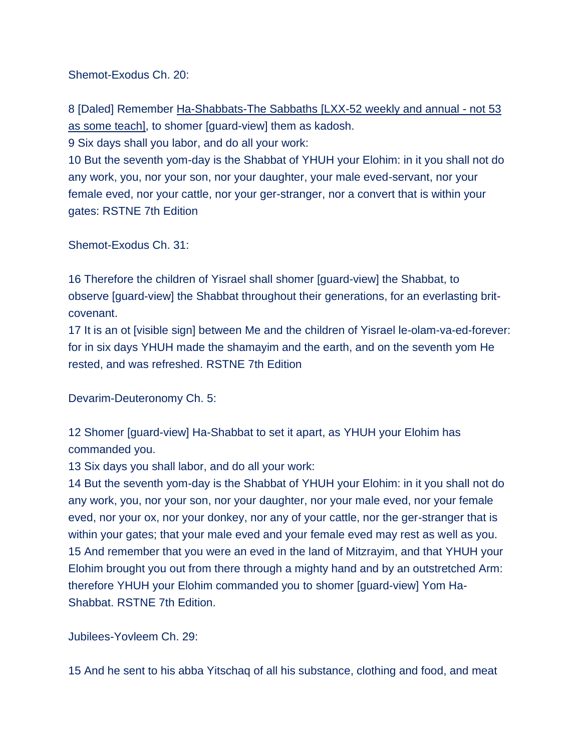Shemot-Exodus Ch. 20:

8 [Daled] Remember Ha-Shabbats-The Sabbaths [LXX-52 weekly and annual - not 53 as some teach], to shomer [guard-view] them as kadosh.

9 Six days shall you labor, and do all your work:

10 But the seventh yom-day is the Shabbat of YHUH your Elohim: in it you shall not do any work, you, nor your son, nor your daughter, your male eved-servant, nor your female eved, nor your cattle, nor your ger-stranger, nor a convert that is within your gates: RSTNE 7th Edition

Shemot-Exodus Ch. 31:

16 Therefore the children of Yisrael shall shomer [guard-view] the Shabbat, to observe [guard-view] the Shabbat throughout their generations, for an everlasting britcovenant.

17 It is an ot [visible sign] between Me and the children of Yisrael le-olam-va-ed-forever: for in six days YHUH made the shamayim and the earth, and on the seventh yom He rested, and was refreshed. RSTNE 7th Edition

Devarim-Deuteronomy Ch. 5:

12 Shomer [guard-view] Ha-Shabbat to set it apart, as YHUH your Elohim has commanded you.

13 Six days you shall labor, and do all your work:

14 But the seventh yom-day is the Shabbat of YHUH your Elohim: in it you shall not do any work, you, nor your son, nor your daughter, nor your male eved, nor your female eved, nor your ox, nor your donkey, nor any of your cattle, nor the ger-stranger that is within your gates; that your male eved and your female eved may rest as well as you. 15 And remember that you were an eved in the land of Mitzrayim, and that YHUH your Elohim brought you out from there through a mighty hand and by an outstretched Arm: therefore YHUH your Elohim commanded you to shomer [guard-view] Yom Ha-Shabbat. RSTNE 7th Edition.

Jubilees-Yovleem Ch. 29:

15 And he sent to his abba Yitschaq of all his substance, clothing and food, and meat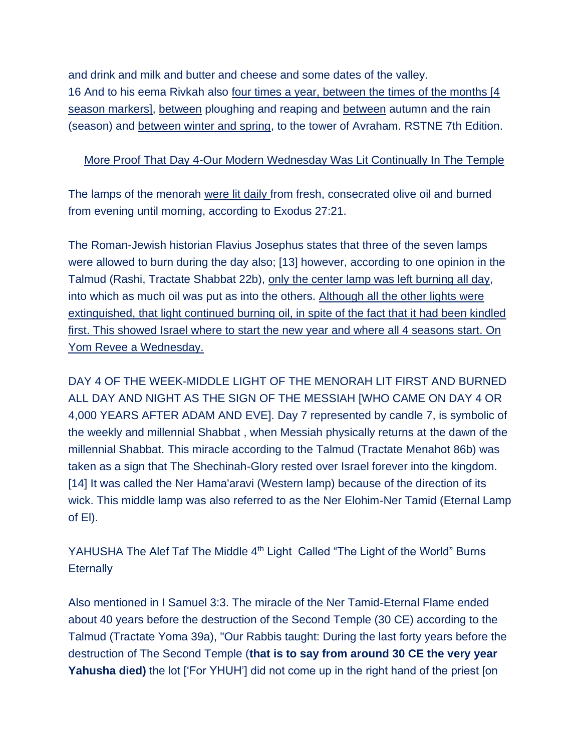and drink and milk and butter and cheese and some dates of the valley. 16 And to his eema Rivkah also four times a year, between the times of the months [4] season markers], between ploughing and reaping and between autumn and the rain (season) and between winter and spring, to the tower of Avraham. RSTNE 7th Edition.

#### More Proof That Day 4-Our Modern Wednesday Was Lit Continually In The Temple

The lamps of the menorah were lit daily from fresh, consecrated olive oil and burned from evening until morning, according to Exodus 27:21.

The Roman-Jewish historian Flavius Josephus states that three of the seven lamps were allowed to burn during the day also; [13] however, according to one opinion in the Talmud (Rashi, Tractate Shabbat 22b), only the center lamp was left burning all day, into which as much oil was put as into the others. Although all the other lights were extinguished, that light continued burning oil, in spite of the fact that it had been kindled first. This showed Israel where to start the new year and where all 4 seasons start. On Yom Revee a Wednesday.

DAY 4 OF THE WEEK-MIDDLE LIGHT OF THE MENORAH LIT FIRST AND BURNED ALL DAY AND NIGHT AS THE SIGN OF THE MESSIAH [WHO CAME ON DAY 4 OR 4,000 YEARS AFTER ADAM AND EVE]. Day 7 represented by candle 7, is symbolic of the weekly and millennial Shabbat , when Messiah physically returns at the dawn of the millennial Shabbat. This miracle according to the Talmud (Tractate Menahot 86b) was taken as a sign that The Shechinah-Glory rested over Israel forever into the kingdom. [14] It was called the Ner Hama'aravi (Western lamp) because of the direction of its wick. This middle lamp was also referred to as the Ner Elohim-Ner Tamid (Eternal Lamp of El).

## YAHUSHA The Alef Taf The Middle 4<sup>th</sup> Light Called "The Light of the World" Burns **Eternally**

Also mentioned in I Samuel 3:3. The miracle of the Ner Tamid-Eternal Flame ended about 40 years before the destruction of the Second Temple (30 CE) according to the Talmud (Tractate Yoma 39a), "Our Rabbis taught: During the last forty years before the destruction of The Second Temple (**that is to say from around 30 CE the very year**  Yahusha died) the lot ['For YHUH'] did not come up in the right hand of the priest [on